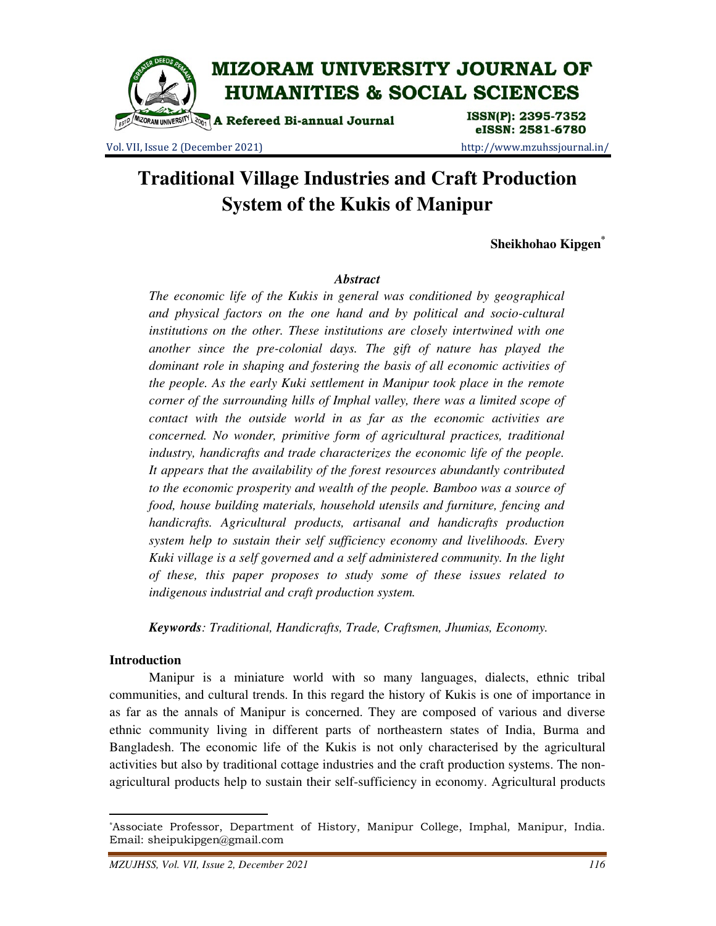

Vol. VII, Issue 2 (December 2021) http://www.mzuhssjournal.in/

# eISSN: 2581-6780

# **Traditional Village Industries and Craft Production System of the Kukis of Manipur**

**Sheikhohao Kipgen\***

#### *Abstract*

*The economic life of the Kukis in general was conditioned by geographical and physical factors on the one hand and by political and socio-cultural institutions on the other. These institutions are closely intertwined with one another since the pre-colonial days. The gift of nature has played the dominant role in shaping and fostering the basis of all economic activities of the people. As the early Kuki settlement in Manipur took place in the remote corner of the surrounding hills of Imphal valley, there was a limited scope of contact with the outside world in as far as the economic activities are concerned. No wonder, primitive form of agricultural practices, traditional industry, handicrafts and trade characterizes the economic life of the people. It appears that the availability of the forest resources abundantly contributed to the economic prosperity and wealth of the people. Bamboo was a source of food, house building materials, household utensils and furniture, fencing and handicrafts. Agricultural products, artisanal and handicrafts production system help to sustain their self sufficiency economy and livelihoods. Every Kuki village is a self governed and a self administered community. In the light of these, this paper proposes to study some of these issues related to indigenous industrial and craft production system.* 

*Keywords: Traditional, Handicrafts, Trade, Craftsmen, Jhumias, Economy.* 

#### **Introduction**

 $\overline{a}$ 

 Manipur is a miniature world with so many languages, dialects, ethnic tribal communities, and cultural trends. In this regard the history of Kukis is one of importance in as far as the annals of Manipur is concerned. They are composed of various and diverse ethnic community living in different parts of northeastern states of India, Burma and Bangladesh. The economic life of the Kukis is not only characterised by the agricultural activities but also by traditional cottage industries and the craft production systems. The nonagricultural products help to sustain their self-sufficiency in economy. Agricultural products

<sup>\*</sup>Associate Professor, Department of History, Manipur College, Imphal, Manipur, India. Email: sheipukipgen@gmail.com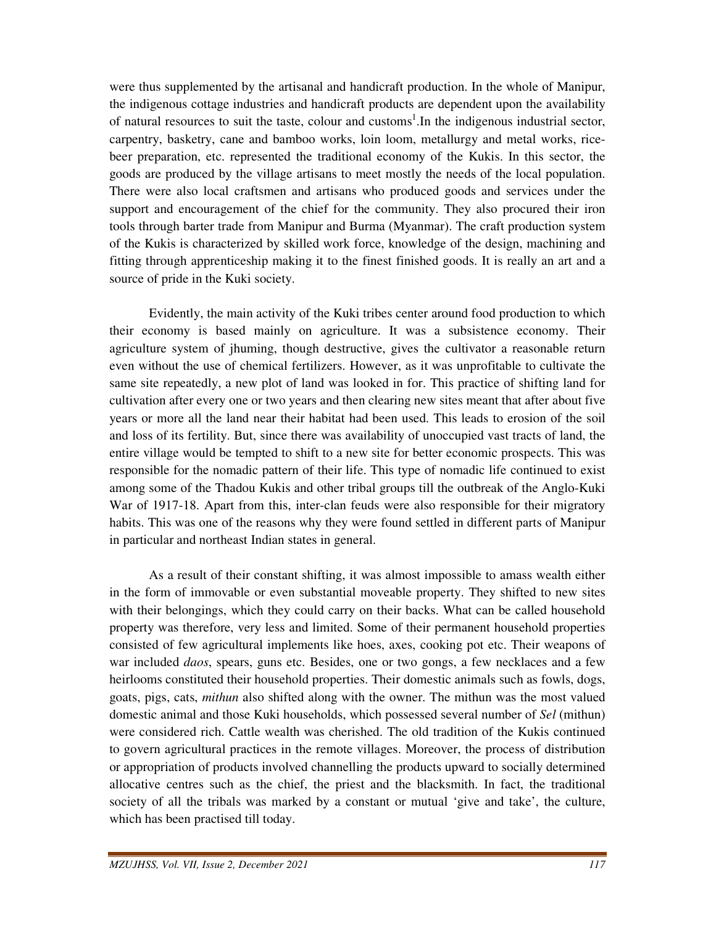were thus supplemented by the artisanal and handicraft production. In the whole of Manipur, the indigenous cottage industries and handicraft products are dependent upon the availability of natural resources to suit the taste, colour and customs<sup>1</sup>. In the indigenous industrial sector, carpentry, basketry, cane and bamboo works, loin loom, metallurgy and metal works, ricebeer preparation, etc. represented the traditional economy of the Kukis. In this sector, the goods are produced by the village artisans to meet mostly the needs of the local population. There were also local craftsmen and artisans who produced goods and services under the support and encouragement of the chief for the community. They also procured their iron tools through barter trade from Manipur and Burma (Myanmar). The craft production system of the Kukis is characterized by skilled work force, knowledge of the design, machining and fitting through apprenticeship making it to the finest finished goods. It is really an art and a source of pride in the Kuki society.

 Evidently, the main activity of the Kuki tribes center around food production to which their economy is based mainly on agriculture. It was a subsistence economy. Their agriculture system of jhuming, though destructive, gives the cultivator a reasonable return even without the use of chemical fertilizers. However, as it was unprofitable to cultivate the same site repeatedly, a new plot of land was looked in for. This practice of shifting land for cultivation after every one or two years and then clearing new sites meant that after about five years or more all the land near their habitat had been used. This leads to erosion of the soil and loss of its fertility. But, since there was availability of unoccupied vast tracts of land, the entire village would be tempted to shift to a new site for better economic prospects. This was responsible for the nomadic pattern of their life. This type of nomadic life continued to exist among some of the Thadou Kukis and other tribal groups till the outbreak of the Anglo-Kuki War of 1917-18. Apart from this, inter-clan feuds were also responsible for their migratory habits. This was one of the reasons why they were found settled in different parts of Manipur in particular and northeast Indian states in general.

 As a result of their constant shifting, it was almost impossible to amass wealth either in the form of immovable or even substantial moveable property. They shifted to new sites with their belongings, which they could carry on their backs. What can be called household property was therefore, very less and limited. Some of their permanent household properties consisted of few agricultural implements like hoes, axes, cooking pot etc. Their weapons of war included *daos*, spears, guns etc. Besides, one or two gongs, a few necklaces and a few heirlooms constituted their household properties. Their domestic animals such as fowls, dogs, goats, pigs, cats, *mithun* also shifted along with the owner. The mithun was the most valued domestic animal and those Kuki households, which possessed several number of *Sel* (mithun) were considered rich. Cattle wealth was cherished. The old tradition of the Kukis continued to govern agricultural practices in the remote villages. Moreover, the process of distribution or appropriation of products involved channelling the products upward to socially determined allocative centres such as the chief, the priest and the blacksmith. In fact, the traditional society of all the tribals was marked by a constant or mutual 'give and take', the culture, which has been practised till today.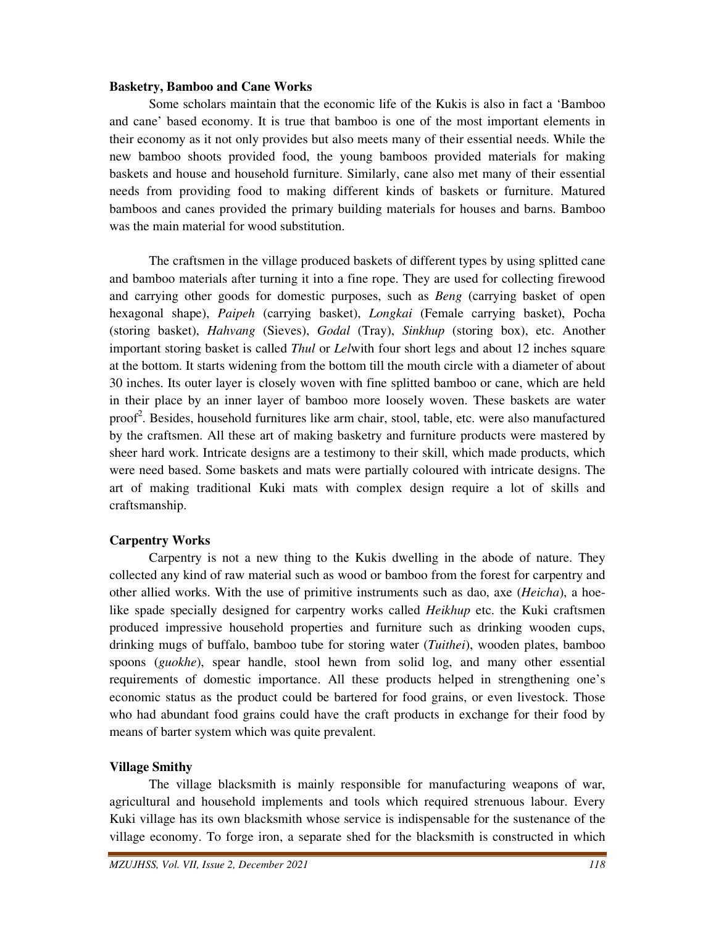#### **Basketry, Bamboo and Cane Works**

 Some scholars maintain that the economic life of the Kukis is also in fact a 'Bamboo and cane' based economy. It is true that bamboo is one of the most important elements in their economy as it not only provides but also meets many of their essential needs. While the new bamboo shoots provided food, the young bamboos provided materials for making baskets and house and household furniture. Similarly, cane also met many of their essential needs from providing food to making different kinds of baskets or furniture. Matured bamboos and canes provided the primary building materials for houses and barns. Bamboo was the main material for wood substitution.

 The craftsmen in the village produced baskets of different types by using splitted cane and bamboo materials after turning it into a fine rope. They are used for collecting firewood and carrying other goods for domestic purposes, such as *Beng* (carrying basket of open hexagonal shape), *Paipeh* (carrying basket), *Longkai* (Female carrying basket), Pocha (storing basket), *Hahvang* (Sieves), *Godal* (Tray), *Sinkhup* (storing box), etc. Another important storing basket is called *Thul* or *Lel*with four short legs and about 12 inches square at the bottom. It starts widening from the bottom till the mouth circle with a diameter of about 30 inches. Its outer layer is closely woven with fine splitted bamboo or cane, which are held in their place by an inner layer of bamboo more loosely woven. These baskets are water proof<sup>2</sup>. Besides, household furnitures like arm chair, stool, table, etc. were also manufactured by the craftsmen. All these art of making basketry and furniture products were mastered by sheer hard work. Intricate designs are a testimony to their skill, which made products, which were need based. Some baskets and mats were partially coloured with intricate designs. The art of making traditional Kuki mats with complex design require a lot of skills and craftsmanship.

# **Carpentry Works**

Carpentry is not a new thing to the Kukis dwelling in the abode of nature. They collected any kind of raw material such as wood or bamboo from the forest for carpentry and other allied works. With the use of primitive instruments such as dao, axe (*Heicha*), a hoelike spade specially designed for carpentry works called *Heikhup* etc. the Kuki craftsmen produced impressive household properties and furniture such as drinking wooden cups, drinking mugs of buffalo, bamboo tube for storing water (*Tuithei*), wooden plates, bamboo spoons (*guokhe*), spear handle, stool hewn from solid log, and many other essential requirements of domestic importance. All these products helped in strengthening one's economic status as the product could be bartered for food grains, or even livestock. Those who had abundant food grains could have the craft products in exchange for their food by means of barter system which was quite prevalent.

# **Village Smithy**

The village blacksmith is mainly responsible for manufacturing weapons of war, agricultural and household implements and tools which required strenuous labour. Every Kuki village has its own blacksmith whose service is indispensable for the sustenance of the village economy. To forge iron, a separate shed for the blacksmith is constructed in which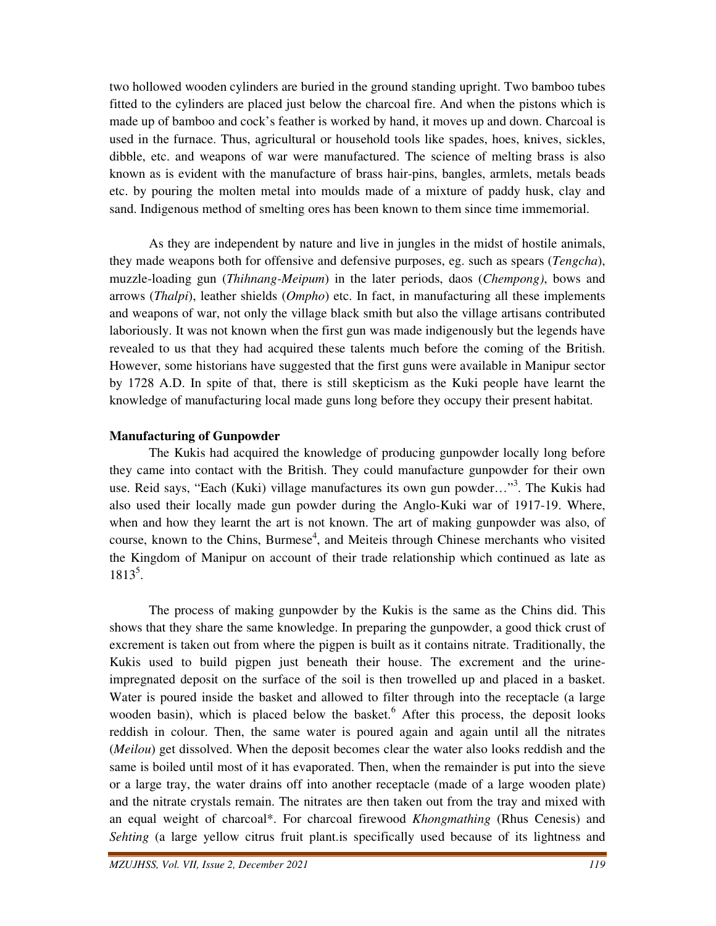two hollowed wooden cylinders are buried in the ground standing upright. Two bamboo tubes fitted to the cylinders are placed just below the charcoal fire. And when the pistons which is made up of bamboo and cock's feather is worked by hand, it moves up and down. Charcoal is used in the furnace. Thus, agricultural or household tools like spades, hoes, knives, sickles, dibble, etc. and weapons of war were manufactured. The science of melting brass is also known as is evident with the manufacture of brass hair-pins, bangles, armlets, metals beads etc. by pouring the molten metal into moulds made of a mixture of paddy husk, clay and sand. Indigenous method of smelting ores has been known to them since time immemorial.

 As they are independent by nature and live in jungles in the midst of hostile animals, they made weapons both for offensive and defensive purposes, eg. such as spears (*Tengcha*), muzzle-loading gun (*Thihnang-Meipum*) in the later periods, daos (*Chempong)*, bows and arrows (*Thalpi*), leather shields (*Ompho*) etc. In fact, in manufacturing all these implements and weapons of war, not only the village black smith but also the village artisans contributed laboriously. It was not known when the first gun was made indigenously but the legends have revealed to us that they had acquired these talents much before the coming of the British. However, some historians have suggested that the first guns were available in Manipur sector by 1728 A.D. In spite of that, there is still skepticism as the Kuki people have learnt the knowledge of manufacturing local made guns long before they occupy their present habitat.

#### **Manufacturing of Gunpowder**

The Kukis had acquired the knowledge of producing gunpowder locally long before they came into contact with the British. They could manufacture gunpowder for their own use. Reid says, "Each (Kuki) village manufactures its own gun powder..."<sup>3</sup>. The Kukis had also used their locally made gun powder during the Anglo-Kuki war of 1917-19. Where, when and how they learnt the art is not known. The art of making gunpowder was also, of course, known to the Chins, Burmese<sup>4</sup>, and Meiteis through Chinese merchants who visited the Kingdom of Manipur on account of their trade relationship which continued as late as 1813<sup>5</sup> .

 The process of making gunpowder by the Kukis is the same as the Chins did. This shows that they share the same knowledge. In preparing the gunpowder, a good thick crust of excrement is taken out from where the pigpen is built as it contains nitrate. Traditionally, the Kukis used to build pigpen just beneath their house. The excrement and the urineimpregnated deposit on the surface of the soil is then trowelled up and placed in a basket. Water is poured inside the basket and allowed to filter through into the receptacle (a large wooden basin), which is placed below the basket.<sup>6</sup> After this process, the deposit looks reddish in colour. Then, the same water is poured again and again until all the nitrates (*Meilou*) get dissolved. When the deposit becomes clear the water also looks reddish and the same is boiled until most of it has evaporated. Then, when the remainder is put into the sieve or a large tray, the water drains off into another receptacle (made of a large wooden plate) and the nitrate crystals remain. The nitrates are then taken out from the tray and mixed with an equal weight of charcoal\*. For charcoal firewood *Khongmathing* (Rhus Cenesis) and *Sehting* (a large yellow citrus fruit plant.is specifically used because of its lightness and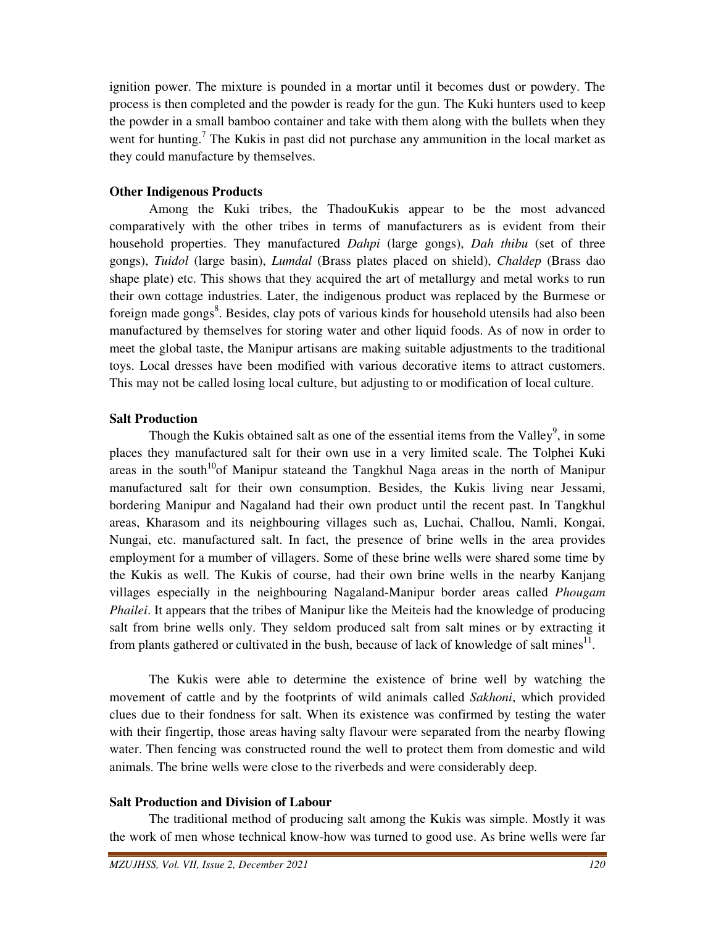ignition power. The mixture is pounded in a mortar until it becomes dust or powdery. The process is then completed and the powder is ready for the gun. The Kuki hunters used to keep the powder in a small bamboo container and take with them along with the bullets when they went for hunting.<sup>7</sup> The Kukis in past did not purchase any ammunition in the local market as they could manufacture by themselves.

# **Other Indigenous Products**

Among the Kuki tribes, the ThadouKukis appear to be the most advanced comparatively with the other tribes in terms of manufacturers as is evident from their household properties. They manufactured *Dahpi* (large gongs), *Dah thibu* (set of three gongs), *Tuidol* (large basin), *Lumdal* (Brass plates placed on shield), *Chaldep* (Brass dao shape plate) etc. This shows that they acquired the art of metallurgy and metal works to run their own cottage industries. Later, the indigenous product was replaced by the Burmese or foreign made gongs<sup>8</sup>. Besides, clay pots of various kinds for household utensils had also been manufactured by themselves for storing water and other liquid foods. As of now in order to meet the global taste, the Manipur artisans are making suitable adjustments to the traditional toys. Local dresses have been modified with various decorative items to attract customers. This may not be called losing local culture, but adjusting to or modification of local culture.

# **Salt Production**

Though the Kukis obtained salt as one of the essential items from the Valley $\degree$ , in some places they manufactured salt for their own use in a very limited scale. The Tolphei Kuki areas in the south<sup>10</sup>of Manipur stateand the Tangkhul Naga areas in the north of Manipur manufactured salt for their own consumption. Besides, the Kukis living near Jessami, bordering Manipur and Nagaland had their own product until the recent past. In Tangkhul areas, Kharasom and its neighbouring villages such as, Luchai, Challou, Namli, Kongai, Nungai, etc. manufactured salt. In fact, the presence of brine wells in the area provides employment for a mumber of villagers. Some of these brine wells were shared some time by the Kukis as well. The Kukis of course, had their own brine wells in the nearby Kanjang villages especially in the neighbouring Nagaland-Manipur border areas called *Phougam Phailei*. It appears that the tribes of Manipur like the Meiteis had the knowledge of producing salt from brine wells only. They seldom produced salt from salt mines or by extracting it from plants gathered or cultivated in the bush, because of lack of knowledge of salt mines<sup>11</sup>.

 The Kukis were able to determine the existence of brine well by watching the movement of cattle and by the footprints of wild animals called *Sakhoni*, which provided clues due to their fondness for salt. When its existence was confirmed by testing the water with their fingertip, those areas having salty flavour were separated from the nearby flowing water. Then fencing was constructed round the well to protect them from domestic and wild animals. The brine wells were close to the riverbeds and were considerably deep.

# **Salt Production and Division of Labour**

The traditional method of producing salt among the Kukis was simple. Mostly it was the work of men whose technical know-how was turned to good use. As brine wells were far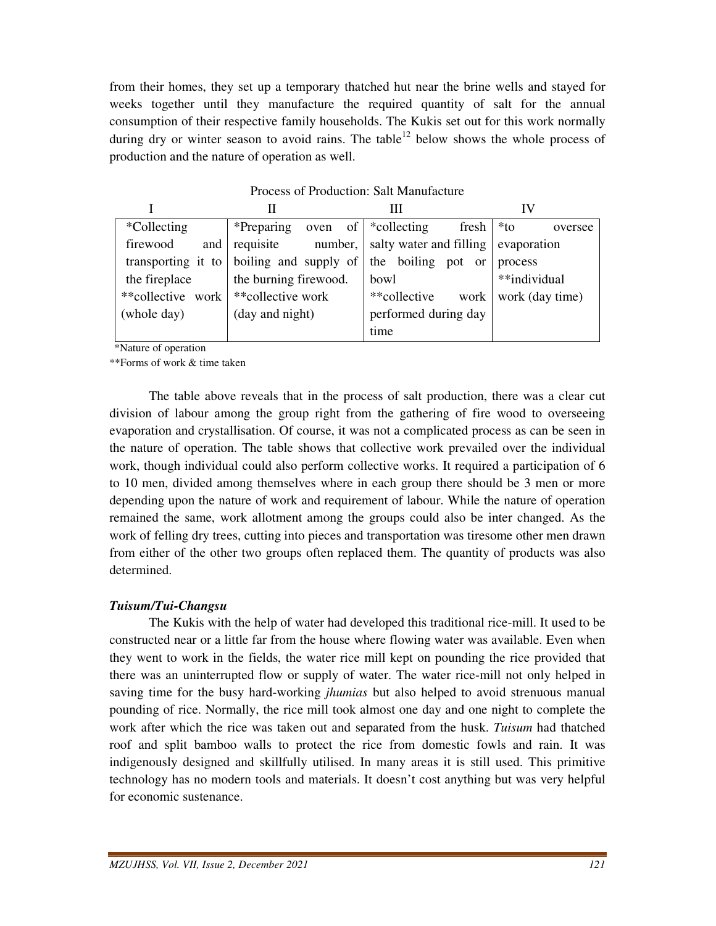from their homes, they set up a temporary thatched hut near the brine wells and stayed for weeks together until they manufacture the required quantity of salt for the annual consumption of their respective family households. The Kukis set out for this work normally during dry or winter season to avoid rains. The table<sup>12</sup> below shows the whole process of production and the nature of operation as well.

| Process of Production: Salt Manufacture |                                           |                                    |                   |  |  |  |
|-----------------------------------------|-------------------------------------------|------------------------------------|-------------------|--|--|--|
|                                         | Н                                         | Ш                                  | IV                |  |  |  |
| *Collecting                             | *Preparing                                | oven of $\ast$ collecting<br>fresh | $*$ to<br>oversee |  |  |  |
| firewood<br>and                         | requisite number, salty water and filling |                                    | evaporation       |  |  |  |
| transporting it to                      | boiling and supply of                     | the boiling pot or                 | process           |  |  |  |
| the fireplace                           | the burning firewood.                     | bowl                               | **individual      |  |  |  |
| **collective work                       | **collective work                         | **collective<br>work               | work (day time)   |  |  |  |
| (whole day)                             | (day and night)                           | performed during day               |                   |  |  |  |
|                                         |                                           | time                               |                   |  |  |  |

\*Nature of operation

\*\*Forms of work & time taken

 The table above reveals that in the process of salt production, there was a clear cut division of labour among the group right from the gathering of fire wood to overseeing evaporation and crystallisation. Of course, it was not a complicated process as can be seen in the nature of operation. The table shows that collective work prevailed over the individual work, though individual could also perform collective works. It required a participation of 6 to 10 men, divided among themselves where in each group there should be 3 men or more depending upon the nature of work and requirement of labour. While the nature of operation remained the same, work allotment among the groups could also be inter changed. As the work of felling dry trees, cutting into pieces and transportation was tiresome other men drawn from either of the other two groups often replaced them. The quantity of products was also determined.

#### *Tuisum/Tui-Changsu*

 The Kukis with the help of water had developed this traditional rice-mill. It used to be constructed near or a little far from the house where flowing water was available. Even when they went to work in the fields, the water rice mill kept on pounding the rice provided that there was an uninterrupted flow or supply of water. The water rice-mill not only helped in saving time for the busy hard-working *jhumias* but also helped to avoid strenuous manual pounding of rice. Normally, the rice mill took almost one day and one night to complete the work after which the rice was taken out and separated from the husk. *Tuisum* had thatched roof and split bamboo walls to protect the rice from domestic fowls and rain. It was indigenously designed and skillfully utilised. In many areas it is still used. This primitive technology has no modern tools and materials. It doesn't cost anything but was very helpful for economic sustenance.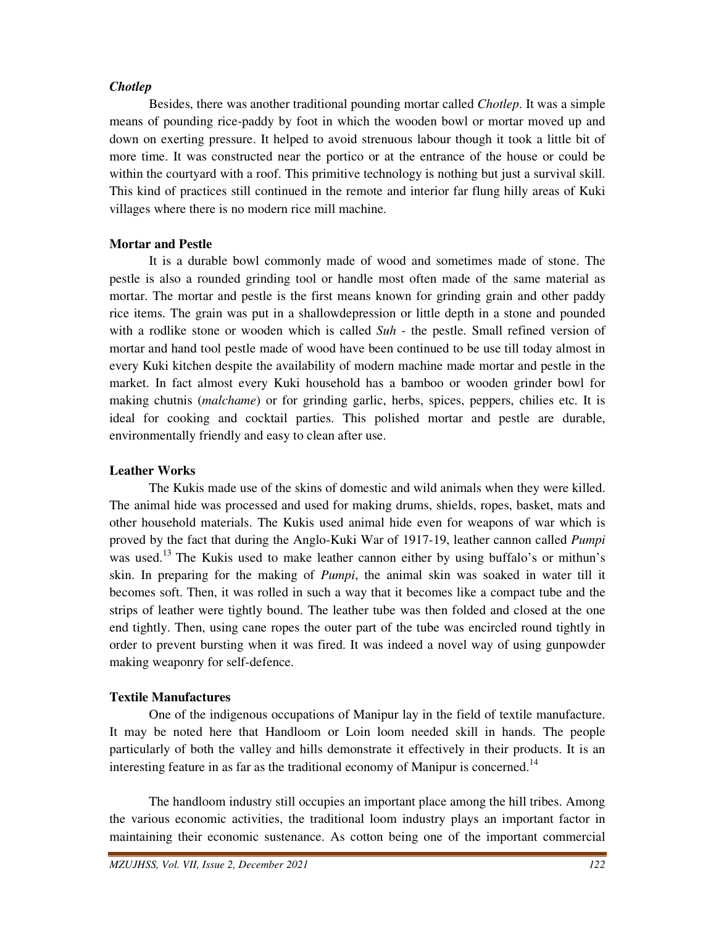#### *Chotlep*

 Besides, there was another traditional pounding mortar called *Chotlep*. It was a simple means of pounding rice-paddy by foot in which the wooden bowl or mortar moved up and down on exerting pressure. It helped to avoid strenuous labour though it took a little bit of more time. It was constructed near the portico or at the entrance of the house or could be within the courtyard with a roof. This primitive technology is nothing but just a survival skill. This kind of practices still continued in the remote and interior far flung hilly areas of Kuki villages where there is no modern rice mill machine.

# **Mortar and Pestle**

 It is a durable bowl commonly made of wood and sometimes made of stone. The pestle is also a rounded grinding tool or handle most often made of the same material as mortar. The mortar and pestle is the first means known for grinding grain and other paddy rice items. The grain was put in a shallowdepression or little depth in a stone and pounded with a rodlike stone or wooden which is called *Suh* - the pestle. Small refined version of mortar and hand tool pestle made of wood have been continued to be use till today almost in every Kuki kitchen despite the availability of modern machine made mortar and pestle in the market. In fact almost every Kuki household has a bamboo or wooden grinder bowl for making chutnis (*malchame*) or for grinding garlic, herbs, spices, peppers, chilies etc. It is ideal for cooking and cocktail parties. This polished mortar and pestle are durable, environmentally friendly and easy to clean after use.

# **Leather Works**

 The Kukis made use of the skins of domestic and wild animals when they were killed. The animal hide was processed and used for making drums, shields, ropes, basket, mats and other household materials. The Kukis used animal hide even for weapons of war which is proved by the fact that during the Anglo-Kuki War of 1917-19, leather cannon called *Pumpi* was used.<sup>13</sup> The Kukis used to make leather cannon either by using buffalo's or mithun's skin. In preparing for the making of *Pumpi*, the animal skin was soaked in water till it becomes soft. Then, it was rolled in such a way that it becomes like a compact tube and the strips of leather were tightly bound. The leather tube was then folded and closed at the one end tightly. Then, using cane ropes the outer part of the tube was encircled round tightly in order to prevent bursting when it was fired. It was indeed a novel way of using gunpowder making weaponry for self-defence.

#### **Textile Manufactures**

 One of the indigenous occupations of Manipur lay in the field of textile manufacture. It may be noted here that Handloom or Loin loom needed skill in hands. The people particularly of both the valley and hills demonstrate it effectively in their products. It is an interesting feature in as far as the traditional economy of Manipur is concerned.<sup>14</sup>

 The handloom industry still occupies an important place among the hill tribes. Among the various economic activities, the traditional loom industry plays an important factor in maintaining their economic sustenance. As cotton being one of the important commercial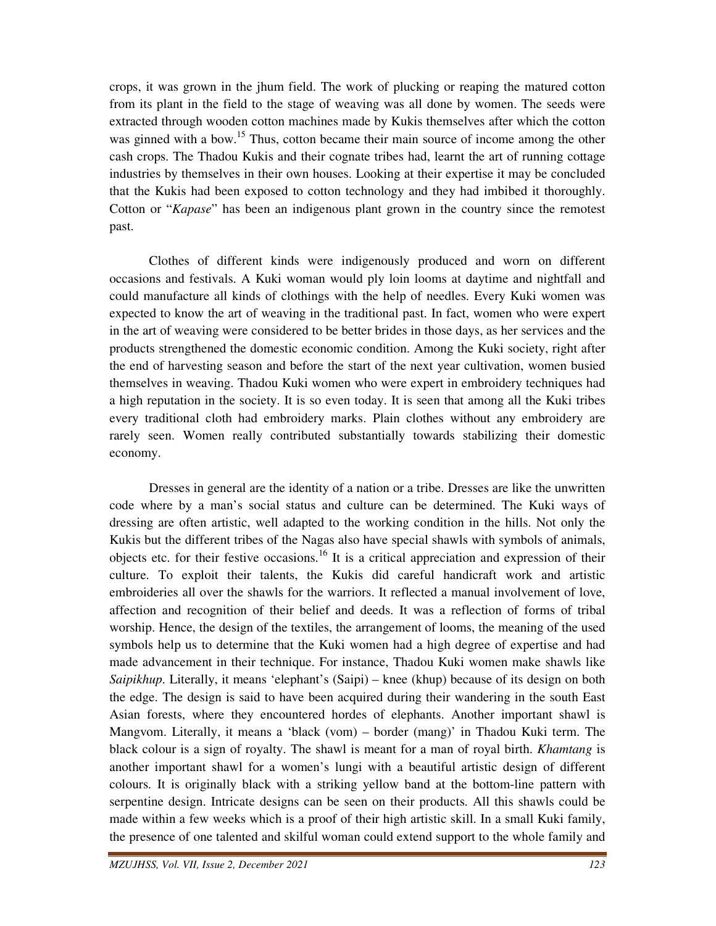crops, it was grown in the jhum field. The work of plucking or reaping the matured cotton from its plant in the field to the stage of weaving was all done by women. The seeds were extracted through wooden cotton machines made by Kukis themselves after which the cotton was ginned with a bow.<sup>15</sup> Thus, cotton became their main source of income among the other cash crops. The Thadou Kukis and their cognate tribes had, learnt the art of running cottage industries by themselves in their own houses. Looking at their expertise it may be concluded that the Kukis had been exposed to cotton technology and they had imbibed it thoroughly. Cotton or "*Kapase*" has been an indigenous plant grown in the country since the remotest past.

 Clothes of different kinds were indigenously produced and worn on different occasions and festivals. A Kuki woman would ply loin looms at daytime and nightfall and could manufacture all kinds of clothings with the help of needles. Every Kuki women was expected to know the art of weaving in the traditional past. In fact, women who were expert in the art of weaving were considered to be better brides in those days, as her services and the products strengthened the domestic economic condition. Among the Kuki society, right after the end of harvesting season and before the start of the next year cultivation, women busied themselves in weaving. Thadou Kuki women who were expert in embroidery techniques had a high reputation in the society. It is so even today. It is seen that among all the Kuki tribes every traditional cloth had embroidery marks. Plain clothes without any embroidery are rarely seen. Women really contributed substantially towards stabilizing their domestic economy.

 Dresses in general are the identity of a nation or a tribe. Dresses are like the unwritten code where by a man's social status and culture can be determined. The Kuki ways of dressing are often artistic, well adapted to the working condition in the hills. Not only the Kukis but the different tribes of the Nagas also have special shawls with symbols of animals, objects etc. for their festive occasions.<sup>16</sup> It is a critical appreciation and expression of their culture. To exploit their talents, the Kukis did careful handicraft work and artistic embroideries all over the shawls for the warriors. It reflected a manual involvement of love, affection and recognition of their belief and deeds. It was a reflection of forms of tribal worship. Hence, the design of the textiles, the arrangement of looms, the meaning of the used symbols help us to determine that the Kuki women had a high degree of expertise and had made advancement in their technique. For instance, Thadou Kuki women make shawls like *Saipikhup*. Literally, it means 'elephant's (Saipi) – knee (khup) because of its design on both the edge. The design is said to have been acquired during their wandering in the south East Asian forests, where they encountered hordes of elephants. Another important shawl is Mangvom. Literally, it means a 'black (vom) – border (mang)' in Thadou Kuki term. The black colour is a sign of royalty. The shawl is meant for a man of royal birth. *Khamtang* is another important shawl for a women's lungi with a beautiful artistic design of different colours. It is originally black with a striking yellow band at the bottom-line pattern with serpentine design. Intricate designs can be seen on their products. All this shawls could be made within a few weeks which is a proof of their high artistic skill. In a small Kuki family, the presence of one talented and skilful woman could extend support to the whole family and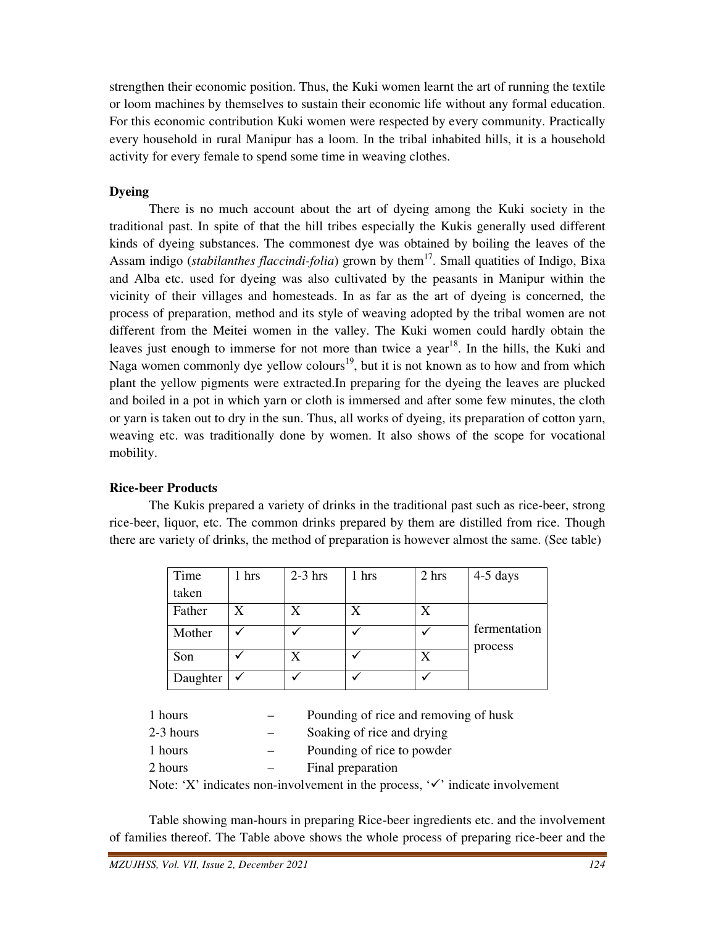strengthen their economic position. Thus, the Kuki women learnt the art of running the textile or loom machines by themselves to sustain their economic life without any formal education. For this economic contribution Kuki women were respected by every community. Practically every household in rural Manipur has a loom. In the tribal inhabited hills, it is a household activity for every female to spend some time in weaving clothes.

# **Dyeing**

 There is no much account about the art of dyeing among the Kuki society in the traditional past. In spite of that the hill tribes especially the Kukis generally used different kinds of dyeing substances. The commonest dye was obtained by boiling the leaves of the Assam indigo (*stabilanthes flaccindi-folia*) grown by them<sup>17</sup>. Small quatities of Indigo, Bixa and Alba etc. used for dyeing was also cultivated by the peasants in Manipur within the vicinity of their villages and homesteads. In as far as the art of dyeing is concerned, the process of preparation, method and its style of weaving adopted by the tribal women are not different from the Meitei women in the valley. The Kuki women could hardly obtain the leaves just enough to immerse for not more than twice a year<sup>18</sup>. In the hills, the Kuki and Naga women commonly dye yellow colours<sup>19</sup>, but it is not known as to how and from which plant the yellow pigments were extracted.In preparing for the dyeing the leaves are plucked and boiled in a pot in which yarn or cloth is immersed and after some few minutes, the cloth or yarn is taken out to dry in the sun. Thus, all works of dyeing, its preparation of cotton yarn, weaving etc. was traditionally done by women. It also shows of the scope for vocational mobility.

# **Rice-beer Products**

 The Kukis prepared a variety of drinks in the traditional past such as rice-beer, strong rice-beer, liquor, etc. The common drinks prepared by them are distilled from rice. Though there are variety of drinks, the method of preparation is however almost the same. (See table)

| Time     | hrs | $2-3$ hrs | 1 hrs | 2 hrs | $4-5$ days              |
|----------|-----|-----------|-------|-------|-------------------------|
| taken    |     |           |       |       |                         |
| Father   | X   | X         | X     | X     |                         |
| Mother   |     |           |       |       | fermentation<br>process |
| Son      |     | X         |       |       |                         |
| Daughter |     |           |       |       |                         |

| hours     | Pounding of rice and removing of husk |  |
|-----------|---------------------------------------|--|
| 2-3 hours | Soaking of rice and drying            |  |
| 1 hours   | Pounding of rice to powder            |  |
| 2 hours   | Final preparation                     |  |
|           | .                                     |  |

Note: 'X' indicates non-involvement in the process,  $\checkmark$  indicate involvement

 Table showing man-hours in preparing Rice-beer ingredients etc. and the involvement of families thereof. The Table above shows the whole process of preparing rice-beer and the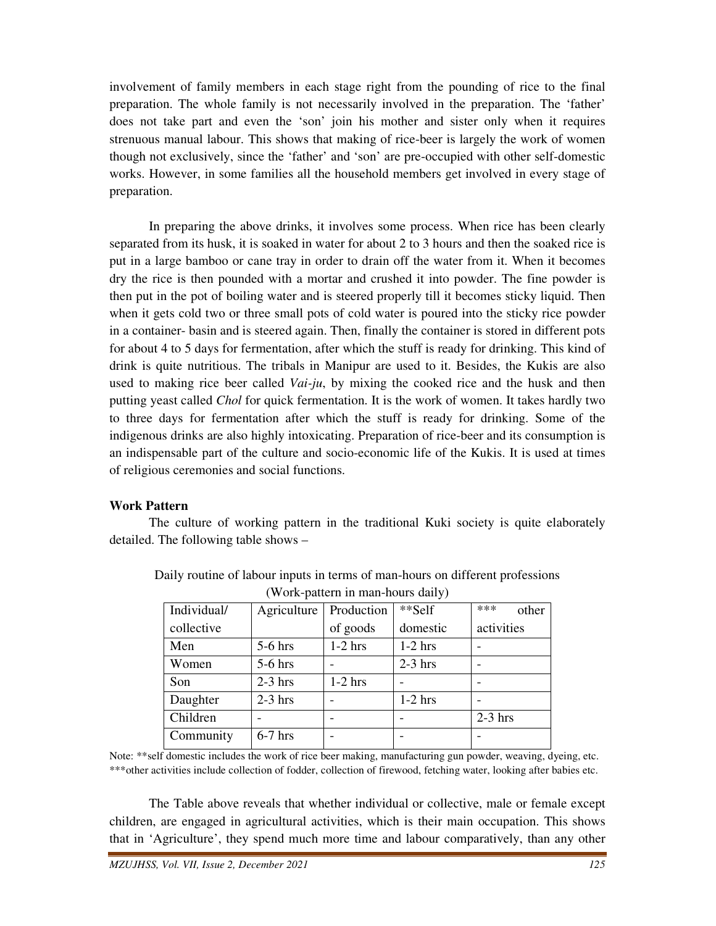involvement of family members in each stage right from the pounding of rice to the final preparation. The whole family is not necessarily involved in the preparation. The 'father' does not take part and even the 'son' join his mother and sister only when it requires strenuous manual labour. This shows that making of rice-beer is largely the work of women though not exclusively, since the 'father' and 'son' are pre-occupied with other self-domestic works. However, in some families all the household members get involved in every stage of preparation.

 In preparing the above drinks, it involves some process. When rice has been clearly separated from its husk, it is soaked in water for about 2 to 3 hours and then the soaked rice is put in a large bamboo or cane tray in order to drain off the water from it. When it becomes dry the rice is then pounded with a mortar and crushed it into powder. The fine powder is then put in the pot of boiling water and is steered properly till it becomes sticky liquid. Then when it gets cold two or three small pots of cold water is poured into the sticky rice powder in a container- basin and is steered again. Then, finally the container is stored in different pots for about 4 to 5 days for fermentation, after which the stuff is ready for drinking. This kind of drink is quite nutritious. The tribals in Manipur are used to it. Besides, the Kukis are also used to making rice beer called *Vai-ju*, by mixing the cooked rice and the husk and then putting yeast called *Chol* for quick fermentation. It is the work of women. It takes hardly two to three days for fermentation after which the stuff is ready for drinking. Some of the indigenous drinks are also highly intoxicating. Preparation of rice-beer and its consumption is an indispensable part of the culture and socio-economic life of the Kukis. It is used at times of religious ceremonies and social functions.

#### **Work Pattern**

 The culture of working pattern in the traditional Kuki society is quite elaborately detailed. The following table shows –

| $($ $\alpha$ or $\alpha$ pattern in mail-nours dany $\beta$ |             |            |           |              |  |
|-------------------------------------------------------------|-------------|------------|-----------|--------------|--|
| Individual/                                                 | Agriculture | Production | **Self    | ***<br>other |  |
| collective                                                  |             | of goods   | domestic  | activities   |  |
| Men                                                         | $5-6$ hrs   | $1-2$ hrs  | $1-2$ hrs |              |  |
| Women                                                       | $5-6$ hrs   |            | $2-3$ hrs |              |  |
| Son                                                         | $2-3$ hrs   | $1-2$ hrs  |           |              |  |
| Daughter                                                    | $2-3$ hrs   | -          | $1-2$ hrs |              |  |
| Children                                                    |             |            |           | $2-3$ hrs    |  |
| Community                                                   | $6-7$ hrs   | -          |           |              |  |

Daily routine of labour inputs in terms of man-hours on different professions (Work-pattern in man-hours daily)

Note: \*\*self domestic includes the work of rice beer making, manufacturing gun powder, weaving, dyeing, etc. \*\*\*other activities include collection of fodder, collection of firewood, fetching water, looking after babies etc.

 The Table above reveals that whether individual or collective, male or female except children, are engaged in agricultural activities, which is their main occupation. This shows that in 'Agriculture', they spend much more time and labour comparatively, than any other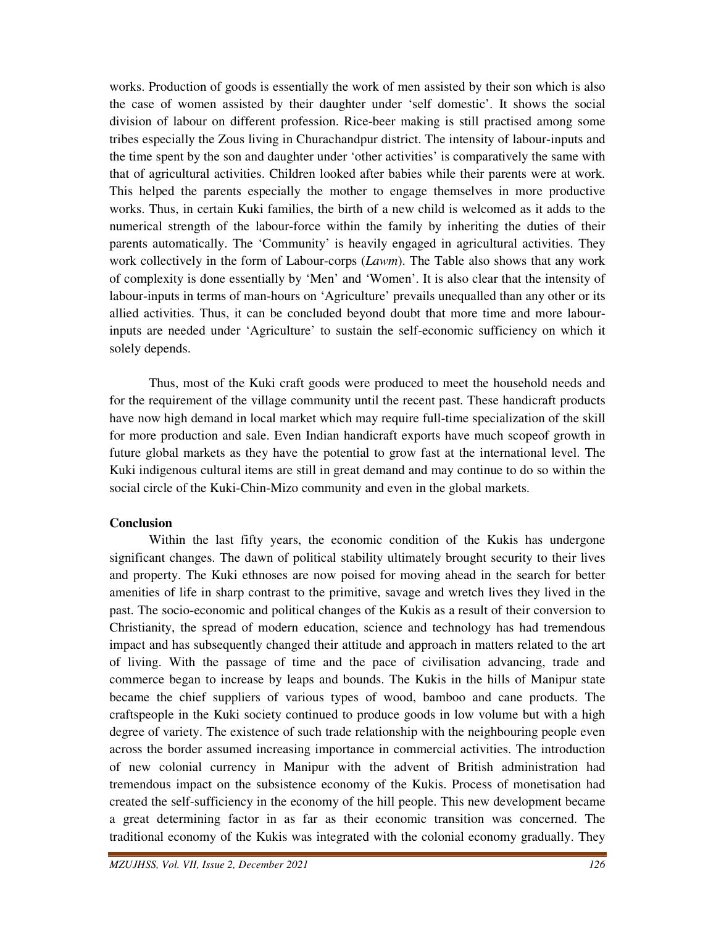works. Production of goods is essentially the work of men assisted by their son which is also the case of women assisted by their daughter under 'self domestic'. It shows the social division of labour on different profession. Rice-beer making is still practised among some tribes especially the Zous living in Churachandpur district. The intensity of labour-inputs and the time spent by the son and daughter under 'other activities' is comparatively the same with that of agricultural activities. Children looked after babies while their parents were at work. This helped the parents especially the mother to engage themselves in more productive works. Thus, in certain Kuki families, the birth of a new child is welcomed as it adds to the numerical strength of the labour-force within the family by inheriting the duties of their parents automatically. The 'Community' is heavily engaged in agricultural activities. They work collectively in the form of Labour-corps (*Lawm*). The Table also shows that any work of complexity is done essentially by 'Men' and 'Women'. It is also clear that the intensity of labour-inputs in terms of man-hours on 'Agriculture' prevails unequalled than any other or its allied activities. Thus, it can be concluded beyond doubt that more time and more labourinputs are needed under 'Agriculture' to sustain the self-economic sufficiency on which it solely depends.

 Thus, most of the Kuki craft goods were produced to meet the household needs and for the requirement of the village community until the recent past. These handicraft products have now high demand in local market which may require full-time specialization of the skill for more production and sale. Even Indian handicraft exports have much scopeof growth in future global markets as they have the potential to grow fast at the international level. The Kuki indigenous cultural items are still in great demand and may continue to do so within the social circle of the Kuki-Chin-Mizo community and even in the global markets.

#### **Conclusion**

 Within the last fifty years, the economic condition of the Kukis has undergone significant changes. The dawn of political stability ultimately brought security to their lives and property. The Kuki ethnoses are now poised for moving ahead in the search for better amenities of life in sharp contrast to the primitive, savage and wretch lives they lived in the past. The socio-economic and political changes of the Kukis as a result of their conversion to Christianity, the spread of modern education, science and technology has had tremendous impact and has subsequently changed their attitude and approach in matters related to the art of living. With the passage of time and the pace of civilisation advancing, trade and commerce began to increase by leaps and bounds. The Kukis in the hills of Manipur state became the chief suppliers of various types of wood, bamboo and cane products. The craftspeople in the Kuki society continued to produce goods in low volume but with a high degree of variety. The existence of such trade relationship with the neighbouring people even across the border assumed increasing importance in commercial activities. The introduction of new colonial currency in Manipur with the advent of British administration had tremendous impact on the subsistence economy of the Kukis. Process of monetisation had created the self-sufficiency in the economy of the hill people. This new development became a great determining factor in as far as their economic transition was concerned. The traditional economy of the Kukis was integrated with the colonial economy gradually. They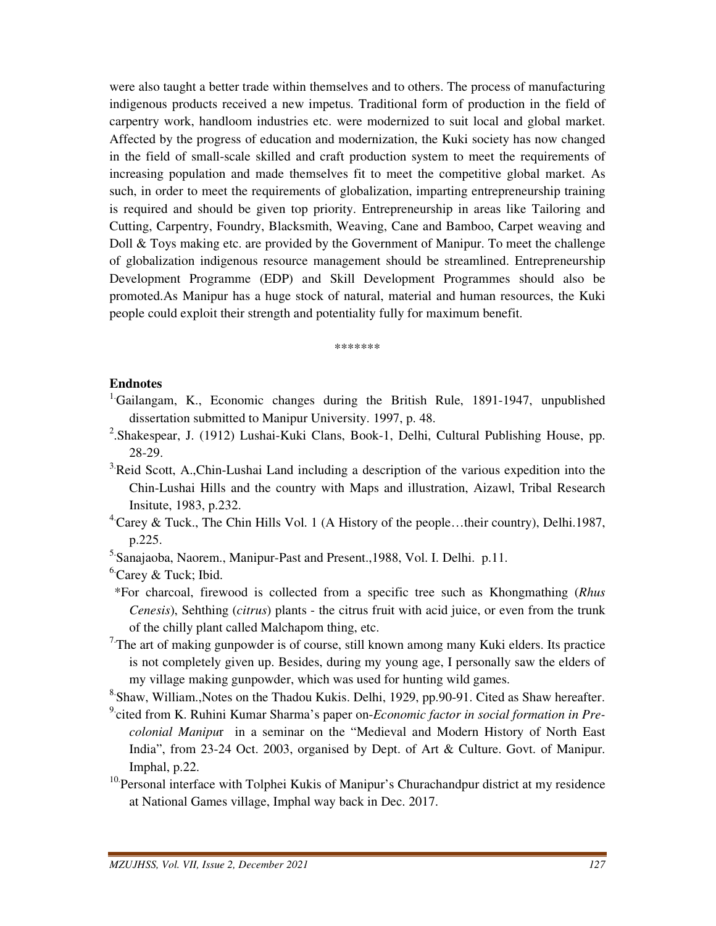were also taught a better trade within themselves and to others. The process of manufacturing indigenous products received a new impetus. Traditional form of production in the field of carpentry work, handloom industries etc. were modernized to suit local and global market. Affected by the progress of education and modernization, the Kuki society has now changed in the field of small-scale skilled and craft production system to meet the requirements of increasing population and made themselves fit to meet the competitive global market. As such, in order to meet the requirements of globalization, imparting entrepreneurship training is required and should be given top priority. Entrepreneurship in areas like Tailoring and Cutting, Carpentry, Foundry, Blacksmith, Weaving, Cane and Bamboo, Carpet weaving and Doll & Toys making etc. are provided by the Government of Manipur. To meet the challenge of globalization indigenous resource management should be streamlined. Entrepreneurship Development Programme (EDP) and Skill Development Programmes should also be promoted.As Manipur has a huge stock of natural, material and human resources, the Kuki people could exploit their strength and potentiality fully for maximum benefit.

\*\*\*\*\*\*\*

#### **Endnotes**

- <sup>1</sup>Gailangam, K., Economic changes during the British Rule, 1891-1947, unpublished dissertation submitted to Manipur University. 1997, p. 48.
- <sup>2</sup>. Shakespear, J. (1912) Lushai-Kuki Clans, Book-1, Delhi, Cultural Publishing House, pp. 28-29.
- <sup>3</sup> Reid Scott, A.,Chin-Lushai Land including a description of the various expedition into the Chin-Lushai Hills and the country with Maps and illustration, Aizawl, Tribal Research Insitute, 1983, p.232.
- <sup>4</sup> Carey & Tuck., The Chin Hills Vol. 1 (A History of the people...their country), Delhi.1987, p.225.
- 5.Sanajaoba, Naorem., Manipur-Past and Present.,1988, Vol. I. Delhi. p.11.
- $6$ <sup>6</sup> Carey & Tuck; Ibid.
- \*For charcoal, firewood is collected from a specific tree such as Khongmathing (*Rhus Cenesis*), Sehthing (*citrus*) plants - the citrus fruit with acid juice, or even from the trunk of the chilly plant called Malchapom thing, etc.
- $7$ The art of making gunpowder is of course, still known among many Kuki elders. Its practice is not completely given up. Besides, during my young age, I personally saw the elders of my village making gunpowder, which was used for hunting wild games.
- <sup>8</sup> Shaw, William., Notes on the Thadou Kukis. Delhi, 1929, pp.90-91. Cited as Shaw hereafter.
- 9.cited from K. Ruhini Kumar Sharma's paper on-*Economic factor in social formation in Precolonial Manipu*r in a seminar on the "Medieval and Modern History of North East India", from 23-24 Oct. 2003, organised by Dept. of Art & Culture. Govt. of Manipur. Imphal, p.22.
- <sup>10.</sup>Personal interface with Tolphei Kukis of Manipur's Churachandpur district at my residence at National Games village, Imphal way back in Dec. 2017.